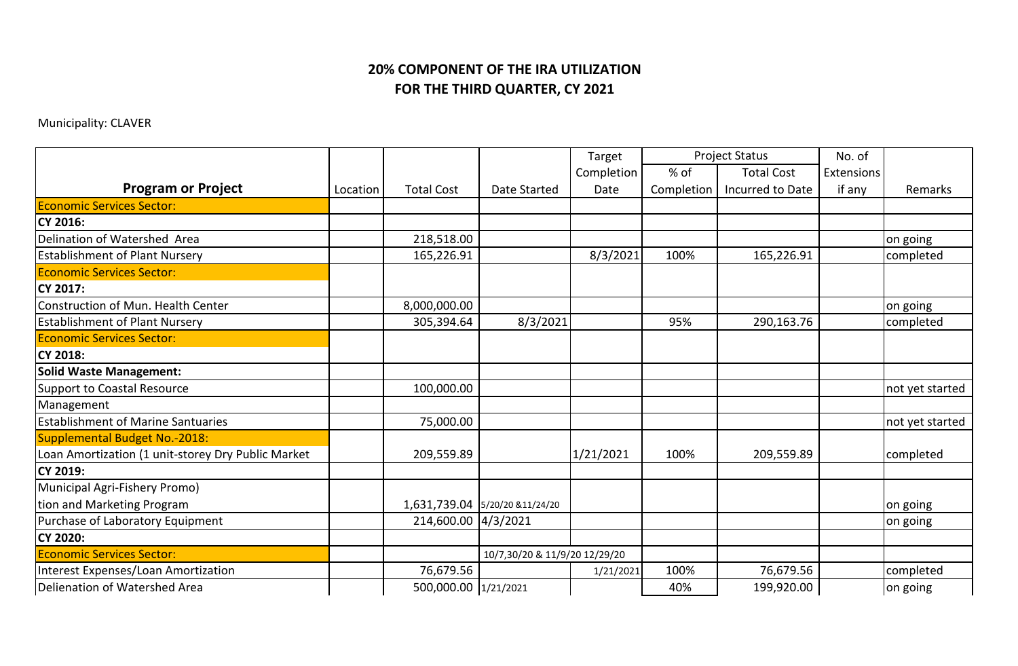## **FOR THE THIRD QUARTER, CY 2021 20% COMPONENT OF THE IRA UTILIZATION**

## Municipality: CLAVER

|                                                    |          |                      |                                | Target     | <b>Project Status</b> |                   | No. of     |                 |
|----------------------------------------------------|----------|----------------------|--------------------------------|------------|-----------------------|-------------------|------------|-----------------|
|                                                    |          |                      |                                | Completion | % of                  | <b>Total Cost</b> | Extensions |                 |
| <b>Program or Project</b>                          | Location | <b>Total Cost</b>    | Date Started                   | Date       | Completion            | Incurred to Date  | if any     | Remarks         |
| <b>Economic Services Sector:</b>                   |          |                      |                                |            |                       |                   |            |                 |
| <b>CY 2016:</b>                                    |          |                      |                                |            |                       |                   |            |                 |
| Delination of Watershed Area                       |          | 218,518.00           |                                |            |                       |                   |            | on going        |
| <b>Establishment of Plant Nursery</b>              |          | 165,226.91           |                                | 8/3/2021   | 100%                  | 165,226.91        |            | completed       |
| <b>Economic Services Sector:</b>                   |          |                      |                                |            |                       |                   |            |                 |
| CY 2017:                                           |          |                      |                                |            |                       |                   |            |                 |
| Construction of Mun. Health Center                 |          | 8,000,000.00         |                                |            |                       |                   |            | on going        |
| <b>Establishment of Plant Nursery</b>              |          | 305,394.64           | 8/3/2021                       |            | 95%                   | 290,163.76        |            | completed       |
| <b>Economic Services Sector:</b>                   |          |                      |                                |            |                       |                   |            |                 |
| <b>CY 2018:</b>                                    |          |                      |                                |            |                       |                   |            |                 |
| <b>Solid Waste Management:</b>                     |          |                      |                                |            |                       |                   |            |                 |
| <b>Support to Coastal Resource</b>                 |          | 100,000.00           |                                |            |                       |                   |            | not yet started |
| Management                                         |          |                      |                                |            |                       |                   |            |                 |
| <b>Establishment of Marine Santuaries</b>          |          | 75,000.00            |                                |            |                       |                   |            | not yet started |
| <b>Supplemental Budget No.-2018:</b>               |          |                      |                                |            |                       |                   |            |                 |
| Loan Amortization (1 unit-storey Dry Public Market |          | 209,559.89           |                                | 1/21/2021  | 100%                  | 209,559.89        |            | completed       |
| CY 2019:                                           |          |                      |                                |            |                       |                   |            |                 |
| Municipal Agri-Fishery Promo)                      |          |                      |                                |            |                       |                   |            |                 |
| tion and Marketing Program                         |          |                      | 1,631,739.04 5/20/20 &11/24/20 |            |                       |                   |            | on going        |
| Purchase of Laboratory Equipment                   |          | 214,600.00 4/3/2021  |                                |            |                       |                   |            | on going        |
| <b>CY 2020:</b>                                    |          |                      |                                |            |                       |                   |            |                 |
| <b>Economic Services Sector:</b>                   |          |                      | 10/7,30/20 & 11/9/20 12/29/20  |            |                       |                   |            |                 |
| Interest Expenses/Loan Amortization                |          | 76,679.56            |                                | 1/21/2021  | 100%                  | 76,679.56         |            | completed       |
| Delienation of Watershed Area                      |          | 500,000.00 1/21/2021 |                                |            | 40%                   | 199,920.00        |            | on going        |